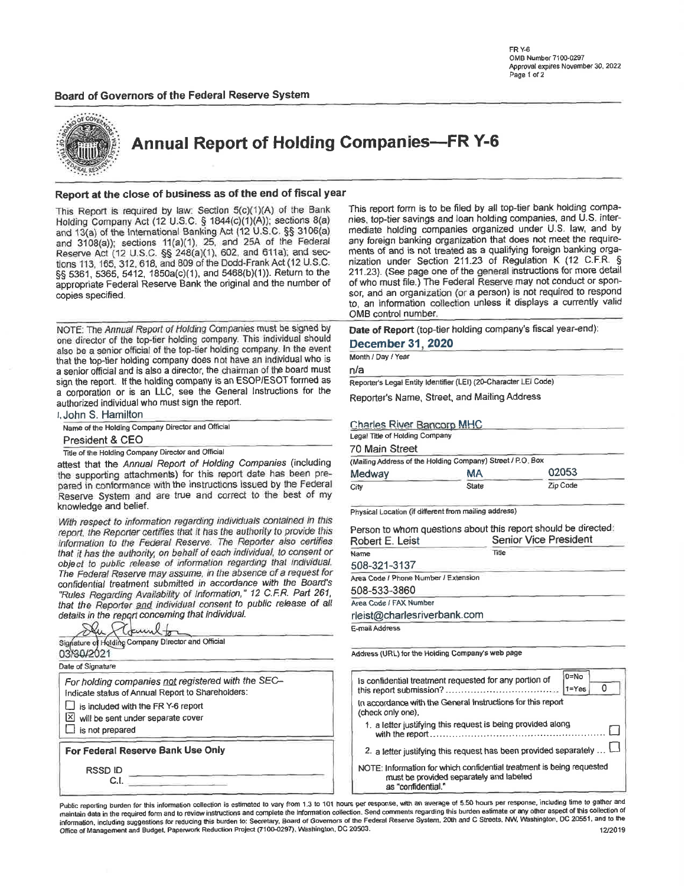#### Board of Governors of the Federal Reserve System



**Annual Report of Holding Companies-FR Y-6** 

#### Report at the close of business as of the end of fiscal year

This Report is required by law: Section 5(c)(1)(A) of the Bank Holding Company Act (12 U.S.C. § 1844(c)(1)(A)); sections 8(a) and 13(a) of the International Banking Act (12 U.S.C. §§ 3106(a) and 3108(a)); sections 11(a)(1), 25, and 25A of the Federal Reserve Act (12 U.S.C. §§ 248(a)(1), 602, and 611a); and sections 113, 165, 312, 618, and 809 of the Dodd-Frank Act (12 U.S.C. §§ 5361, 5365, 5412, 1850a(c)(1), and 5468(b)(1)). Return to the appropriate Federal Reserve Bank the original and the number of copies specified.

NOTE: The Annual Report of Holding Companies must be signed by one director of the top-tier holding company. This individual should also be a senior official of the top-tier holding company. In the event that the top-tier holding company does not have an individual who is a senior official and is also a director, the chairman of the board must sign the report. If the holding company is an ESOP/ESOT formed as a corporation or is an LLC, see the General Instructions for the authorized individual who must sign the report.

| ı John S. Hamilton                                 |  |
|----------------------------------------------------|--|
| Name of the Holding Company Director and Official  |  |
| President & CEO                                    |  |
| Title of the Holding Company Director and Official |  |

attest that the Annual Report of Holding Companies (including the supporting attachments) for this report date has been prepared in conformance with the instructions issued by the Federal Reserve System and are true and correct to the best of my knowledge and belief.

With respect to information regarding individuals contained in this report, the Reporter certifies that it has the authority to provide this information to the Federal Reserve. The Reporter also certifies that it has the authority, on behalf of each individual, to consent or object to public release of information regarding that individual. The Federal Reserve may assume, in the absence of a request for confidential treatment submitted in accordance with the Board's "Rules Regarding Availability of Information," 12 C.F.R. Part 261, that the Reporter and individual consent to public release of all details in the report concerning that individual.

| Signature of Holding Company Director and Official                                                      | E-mail Address                                                  |
|---------------------------------------------------------------------------------------------------------|-----------------------------------------------------------------|
| 03/90/2021                                                                                              | Address (URL) for the Holdin                                    |
| Date of Signature                                                                                       |                                                                 |
| For holding companies not registered with the SEC-<br>Indicate status of Annual Report to Shareholders: | Is confidential treatmen<br>this report submission?             |
| $\Box$ is included with the FR Y-6 report<br>$\boxtimes$ will be sent under separate cover              | In accordance with the I<br>(check only one),                   |
| $\perp$ is not prepared                                                                                 | 1. a letter justifying th<br>with the report                    |
| For Federal Reserve Bank Use Only                                                                       | 2. a letter justifying the                                      |
| <b>RSSDID</b>                                                                                           | NOTE: Information for y<br>must be provide<br>as "confidential. |

This report form is to be filed by all top-tier bank holding companies, top-tier savings and loan holding companies, and U.S. intermediate holding companies organized under U.S. law, and by any foreign banking organization that does not meet the requirements of and is not treated as a qualifying foreign banking organization under Section 211.23 of Regulation K (12 C.F.R. § 211.23). (See page one of the general instructions for more detail of who must file.) The Federal Reserve may not conduct or sponsor, and an organization (or a person) is not required to respond to, an information collection unless it displays a currently valid OMB control number.

Date of Report (top-tier holding company's fiscal year-end):

#### **December 31, 2020**

Month / Day / Year

 $n/a$ 

Reporter's Legal Entity Identifier (LEI) (20-Character LEI Code)

Reporter's Name, Street, and Mailing Address

#### **Charles River Bancorp MHC**

| Legal Title of Holding Company |                                                            |          |  |  |  |
|--------------------------------|------------------------------------------------------------|----------|--|--|--|
| 70 Main Street                 |                                                            |          |  |  |  |
|                                | (Mailing Address of the Holding Company) Street / P.O. Box |          |  |  |  |
| 02053<br><b>MA</b><br>Medway   |                                                            |          |  |  |  |
| City                           | State                                                      | Zip Code |  |  |  |

Physical Location (if different from mailing address)

| Person to whom questions about this report should be directed:<br>Robert E. Leist | <b>Senior Vice President</b> |  |  |  |  |
|-----------------------------------------------------------------------------------|------------------------------|--|--|--|--|
| Name                                                                              | Title                        |  |  |  |  |
| 508-321-3137                                                                      |                              |  |  |  |  |
| Area Code / Phone Number / Extension                                              |                              |  |  |  |  |
| 508-533-3860                                                                      |                              |  |  |  |  |
| Area Code / FAX Number                                                            |                              |  |  |  |  |
| rleist@charlesriverbank.com                                                       |                              |  |  |  |  |
| E-mail Address                                                                    |                              |  |  |  |  |

ng Company's web page

| is confidential treatment requested for any portion of                                                                                 | $D = No$<br>$1 = Yes$ |
|----------------------------------------------------------------------------------------------------------------------------------------|-----------------------|
| In accordance with the General Instructions for this report<br>(check only one),                                                       |                       |
| 1. a letter justifying this request is being provided along                                                                            |                       |
| 2. a letter justifying this request has been provided separately                                                                       |                       |
| NOTE: Information for which confidential treatment is being requested<br>must be provided separately and labeled<br>as "confidential." |                       |

Public reporting burden for this information collection is estimated to vary from 1.3 to 101 hours per response, with an average of 5.50 hours per response, including time to gather and maintain data in the required form and to review instructions and complete the information collection. Send comments regarding this burden estimate or any other aspect of this collection of information, including suggestions for reducing this burden to: Secretary, Board of Governors of the Federal Reserve System, 20th and C Streets, NW, Washington, DC 20551, and to the Office of Management and Budget, Paperwork Reduction Project (7100-0297), Washington, DC 20503. 12/2019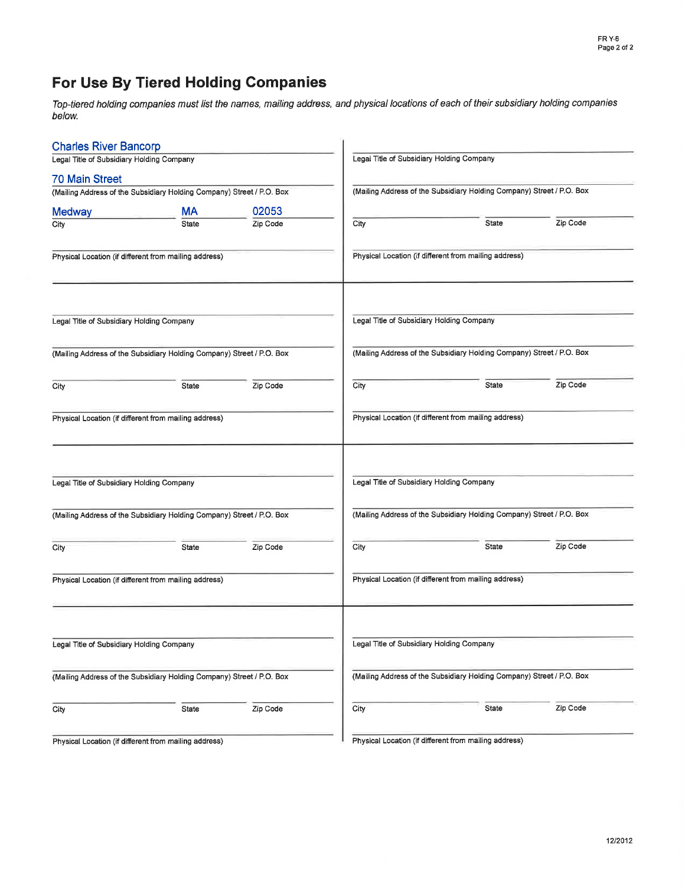# For Use By Tiered Holding Gompanies

Top-tiered hotding companies must list the names, mailing address, and physical locations of each of their subsidiary holding companies below.

| <b>Charles River Bancorp</b>              |                                                                       |          |      |                                                                       |          |  |  |
|-------------------------------------------|-----------------------------------------------------------------------|----------|------|-----------------------------------------------------------------------|----------|--|--|
| Legal Title of Subsidiary Holding Company |                                                                       |          |      | Legal Title of Subsidiary Holding Company                             |          |  |  |
| <b>70 Main Street</b>                     |                                                                       |          |      |                                                                       |          |  |  |
|                                           | (Mailing Address of the Subsidiary Holding Company) Street / P.O. Box |          |      | (Mailing Address of the Subsidiary Holding Company) Street / P.O. Box |          |  |  |
| <b>Medway</b>                             | <b>MA</b>                                                             | 02053    |      |                                                                       |          |  |  |
| City                                      | <b>State</b>                                                          | Zip Code | City | State                                                                 | Zip Code |  |  |
|                                           | Physical Location (if different from mailing address)                 |          |      | Physical Location (if different from mailing address)                 |          |  |  |
| Legal Title of Subsidiary Holding Company |                                                                       |          |      | Legal Title of Subsidiary Holding Company                             |          |  |  |
|                                           | (Mailing Address of the Subsidiary Holding Company) Street / P.O. Box |          |      | (Mailing Address of the Subsidiary Holding Company) Street / P.O. Box |          |  |  |
| City                                      | <b>State</b>                                                          | Zip Code | City | <b>State</b>                                                          | Zip Code |  |  |
|                                           | Physical Location (if different from mailing address)                 |          |      | Physical Location (if different from mailing address)                 |          |  |  |
| Legal Title of Subsidiary Holding Company |                                                                       |          |      | Legal Title of Subsidiary Holding Company                             |          |  |  |
|                                           | (Mailing Address of the Subsidiary Holding Company) Street / P.O. Box |          |      | (Mailing Address of the Subsidiary Holding Company) Street / P.O. Box |          |  |  |
| City                                      | State                                                                 | Zip Code | City | <b>State</b>                                                          | Zip Code |  |  |
|                                           | Physical Location (if different from mailing address)                 |          |      | Physical Location (if different from mailing address)                 |          |  |  |
| Legal Title of Subsidiary Holding Company |                                                                       |          |      | Legal Title of Subsidiary Holding Company                             |          |  |  |
|                                           | (Mailing Address of the Subsidiary Holding Company) Street / P.O. Box |          |      | (Mailing Address of the Subsidiary Holding Company) Street / P.O. Box |          |  |  |
| City                                      | <b>State</b>                                                          | Zip Code | City | State                                                                 | Zip Code |  |  |
|                                           | Physical Location (if different from mailing address)                 |          |      | Physical Location (if different from mailing address)                 |          |  |  |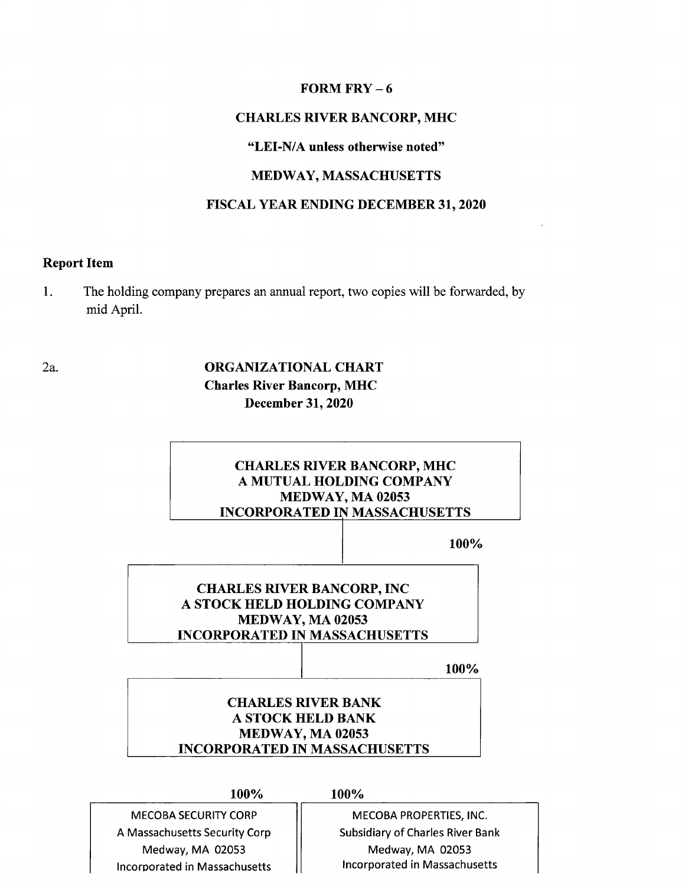### FORM FRY - <sup>6</sup>

# CHARLES RIVER BANCORP, MHC

#### "LEI-N/A unless otherwise noted"

### MEDWAY, MASSACHUSETTS

### FISCAL YEAR ENDING DECEMBER 31,2020

# Report Item

2a.

1 The holding company prepares an annual report, two copies will be forwarded, by mid April.

> ORGANIZATIONAL CHART Charles River Bancorp, MHC December 31, 2020

| <b>CHARLES RIVER BANCORP, MHC</b>    |      |
|--------------------------------------|------|
| A MUTUAL HOLDING COMPANY             |      |
| MEDWAY, MA 02053                     |      |
| <b>INCORPORATED IN MASSACHUSETTS</b> |      |
|                                      |      |
|                                      | 100% |
|                                      |      |
|                                      |      |
| <b>CHARLES RIVER BANCORP, INC</b>    |      |
|                                      |      |
|                                      |      |
| A STOCK HELD HOLDING COMPANY         |      |
| MEDWAY, MA 02053                     |      |
| <b>INCORPORATED IN MASSACHUSETTS</b> |      |
|                                      | 100% |
|                                      |      |
| <b>CHARLES RIVER BANK</b>            |      |
| <b>A STOCK HELD BANK</b>             |      |
|                                      |      |
| MEDWAY, MA 02053                     |      |
| <b>INCORPORATED IN MASSACHUSETTS</b> |      |

MECOBA SECURITY CORP A Massachusetts Security Corp Medway, MA 02053 lncorporated in Massachusetts

MECOBA PROPERTIES, INC. Subsidiary of Charles River Bank Medway, MA 02053 lncorporated in Massachusetts